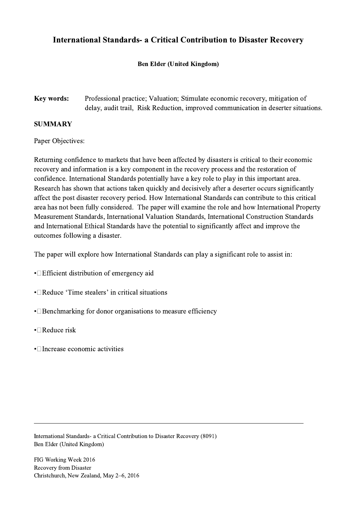## International Standards- a Critical Contribution to Disaster Recovery

## Ben Elder (United Kingdom)

Key words: Professional practice; Valuation; Stimulate economic recovery, mitigation of delay, audit trail, Risk Reduction, improved communication in deserter situations.

## SUMMARY

Paper Objectives:

Returning confidence to markets that have been affected by disasters is critical to their economic recovery and information is a key component in the recovery process and the restoration of confidence. International Standards potentially have a key role to play in this important area. Research has shown that actions taken quickly and decisively after a deserter occurs significantly affect the post disaster recovery period. How International Standards can contribute to this critical area has not been fully considered. The paper will examine the role and how International Property Measurement Standards, International Valuation Standards, International Construction Standards and International Ethical Standards have the potential to significantly affect and improve the outcomes following a disaster.

The paper will explore how International Standards can play a significant role to assist in:

 $\mathcal{L}_\mathcal{L} = \{ \mathcal{L}_\mathcal{L} = \{ \mathcal{L}_\mathcal{L} = \{ \mathcal{L}_\mathcal{L} = \{ \mathcal{L}_\mathcal{L} = \{ \mathcal{L}_\mathcal{L} = \{ \mathcal{L}_\mathcal{L} = \{ \mathcal{L}_\mathcal{L} = \{ \mathcal{L}_\mathcal{L} = \{ \mathcal{L}_\mathcal{L} = \{ \mathcal{L}_\mathcal{L} = \{ \mathcal{L}_\mathcal{L} = \{ \mathcal{L}_\mathcal{L} = \{ \mathcal{L}_\mathcal{L} = \{ \mathcal{L}_\mathcal{$ 

- **Efficient distribution of emergency aid**
- • $\Box$ Reduce 'Time stealers' in critical situations
- $\cdot$  Benchmarking for donor organisations to measure efficiency
- $\cdot$  Reduce risk
- $\cdot$  Increase economic activities

International Standards- a Critical Contribution to Disaster Recovery (8091) Ben Elder (United Kingdom)

FIG Working Week 2016 Recovery from Disaster Christchurch, New Zealand, May 2–6, 2016